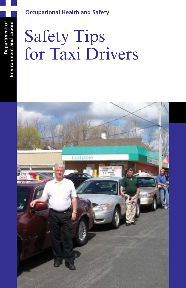# **Occupational Health and Safety**

# Safety Tips for Taxi Drivers

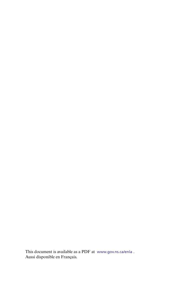This document is available as a PDF at www.gov.ns.ca/enla . Aussi disponible en Français.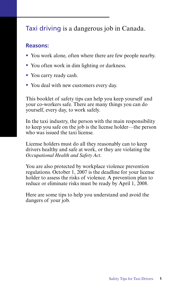# Taxi driving is a dangerous job in Canada.

# **Reasons:**

- You work alone, often where there are few people nearby.
- You often work in dim lighting or darkness.
- You carry ready cash.
- You deal with new customers every day.

This booklet of safety tips can help you keep yourself and your co-workers safe. There are many things you can do yourself, every day, to work safely.

In the taxi industry, the person with the main responsibility to keep you safe on the job is the license holder—the person who was issued the taxi license.

License holders must do all they reasonably can to keep drivers healthy and safe at work, or they are violating the *Occupational Health and Safety Act*.

You are also protected by workplace violence prevention regulations. October 1, 2007 is the deadline for your license holder to assess the risks of violence. A prevention plan to reduce or eliminate risks must be ready by April 1, 2008.

Here are some tips to help you understand and avoid the dangers of your job.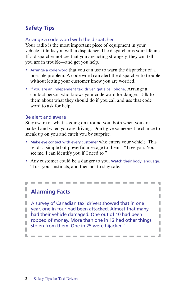# **Safety Tips**

### Arrange a code word with the dispatcher

Your radio is the most important piece of equipment in your vehicle. It links you with a dispatcher. The dispatcher is your lifeline. If a dispatcher notices that you are acting strangely, they can tell you are in trouble—and get you help.

- Arrange a code word that you can use to warn the dispatcher of a possible problem. A code word can alert the dispatcher to trouble without letting your customer know you are worried.
- If you are an independent taxi driver, get a cell phone. Arrange a contact person who knows your code word for danger. Talk to them about what they should do if you call and use that code word to ask for help.

#### Be alert and aware

Stay aware of what is going on around you, both when you are parked and when you are driving. Don't give someone the chance to sneak up on you and catch you by surprise.

- Make eye contact with every customer who enters your vehicle. This sends a simple but powerful message to them—"I see you. You see me. I can identify you if I need to."
- Any customer could be a danger to you. Watch their body language. Trust your instincts, and then act to stay safe.

------

I

I

I

I

a.

# **Alarming Facts**

ı

**L** —

A survey of Canadian taxi drivers showed that in one year, one in four had been attacked. Almost that many had their vehicle damaged. One out of 10 had been T robbed of money. More than one in 12 had other things П stolen from them. One in 25 were hijacked.<sup>1</sup> T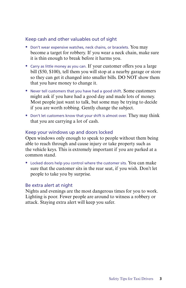## Keep cash and other valuables out of sight

- Don't wear expensive watches, neck chains, or bracelets. You may become a target for robbery. If you wear a neck chain, make sure it is thin enough to break before it harms you.
- Carry as little money as you can. If your customer offers you a large bill (\$50, \$100), tell them you will stop at a nearby garage or store so they can get it changed into smaller bills. DO NOT show them that you have money to change it.
- Never tell customers that you have had a good shift. Some customers might ask if you have had a good day and made lots of money. Most people just want to talk, but some may be trying to decide if you are worth robbing. Gently change the subject.
- Don't let customers know that your shift is almost over. They may think that you are carrying a lot of cash.

### Keep your windows up and doors locked

Open windows only enough to speak to people without them being able to reach through and cause injury or take property such as the vehicle keys. This is extremely important if you are parked at a common stand.

• Locked doors help you control where the customer sits. You can make sure that the customer sits in the rear seat, if you wish. Don't let people to take you by surprise.

#### Be extra alert at night

Nights and evenings are the most dangerous times for you to work. Lighting is poor. Fewer people are around to witness a robbery or attack. Staying extra alert will keep you safer.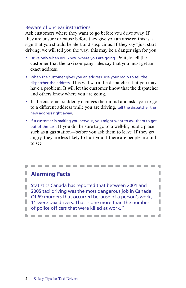## Beware of unclear instructions

Ask customers where they want to go before you drive away. If they are unsure or pause before they give you an answer, this is a sign that you should be alert and suspicious. If they say "just start driving, we will tell you the way,' this may be a danger sign for you.

- Drive only when you know where you are going. Politely tell the customer that the taxi company rules say that you must get an exact address.
- When the customer gives you an address, use your radio to tell the dispatcher the address. This will warn the dispatcher that you may have a problem. It will let the customer know that the dispatcher and others know where you are going.
- If the customer suddenly changes their mind and asks you to go to a different address while you are driving, tell the dispatcher the new address right away.
- If a customer is making you nervous, you might want to ask them to get out of the taxi. If you do, be sure to go to a well-lit, public place such as a gas station—before you ask them to leave. If they get angry, they are less likely to hurt you if there are people around to see.

 $\mathcal{L} = \mathcal{L} = \mathcal{L} = \mathcal{L} = \mathcal{L} = \mathcal{L} = \mathcal{L} = \mathcal{L} = \mathcal{L} = \mathcal{L} = \mathcal{L} = \mathcal{L} = \mathcal{L} = \mathcal{L} = \mathcal{L} = \mathcal{L} = \mathcal{L} = \mathcal{L} = \mathcal{L} = \mathcal{L} = \mathcal{L} = \mathcal{L} = \mathcal{L} = \mathcal{L} = \mathcal{L} = \mathcal{L} = \mathcal{L} = \mathcal{L} = \mathcal{L} = \mathcal{L} = \mathcal{L} = \mathcal$ 

**College** 

L. I

I

I

I I

**College** 

# **Alarming Facts**

П

Statistics Canada has reported that between 2001 and П 2005 taxi driving was the most dangerous job in Canada. I Of 69 murders that occurred because of a person's work,  $\|$  11 were taxi drivers. That is one more than the number  $\Box$  of police officers that were killed at work.<sup>2</sup>

-------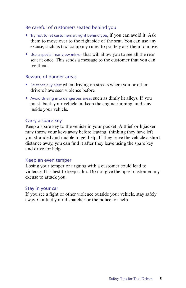## Be careful of customers seated behind you

- Try not to let customers sit right behind you, if you can avoid it. Ask them to move over to the right side of the seat. You can use any excuse, such as taxi company rules, to politely ask them to move.
- Use a special rear view mirror that will allow you to see all the rear seat at once. This sends a message to the customer that you can see them.

## Beware of danger areas

- Be especially alert when driving on streets where you or other drivers have seen violence before.
- Avoid driving into dangerous areas such as dimly lit alleys. If you must, back your vehicle in, keep the engine running, and stay inside your vehicle.

## Carry a spare key

Keep a spare key to the vehicle in your pocket. A thief or hijacker may throw your keys away before leaving, thinking they have left you stranded and unable to get help. If they leave the vehicle a short distance away, you can find it after they leave using the spare key and drive for help.

#### Keep an even temper

Losing your temper or arguing with a customer could lead to violence. It is best to keep calm. Do not give the upset customer any excuse to attack you.

#### Stay in your car

If you see a fight or other violence outside your vehicle, stay safely away. Contact your dispatcher or the police for help.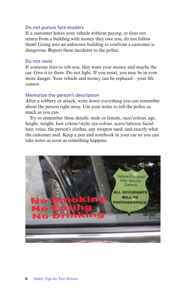#### Do not pursue fare evaders

If a customer leaves your vehicle without paying, or does not return from a building with money they owe you, do not follow them! Going into an unknown building to confront a customer is dangerous. Report these incidents to the police.

#### Do not resist

If someone tries to rob you, they want your money and maybe the car. Give it to them. Do not fight. If you resist, you may be in even more danger. Your vehicle and money can be replaced—your life cannot.

#### Memorize the person's description

After a robbery or attack, write down everything you can remember about the person right away. Use your notes to tell the police as much as you can.

Try to remember these details: male or female, race/colour, age, height, weight, hair colour/style, eye colour, scars/tattoos, facial hair, voice, the person's clothes, any weapon used, and exactly what the customer said. Keep a pen and notebook in your car so you can take notes as soon as something happens.

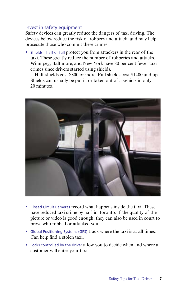### Invest in safety equipment

Safety devices can greatly reduce the dangers of taxi driving. The devices below reduce the risk of robbery and attack, and may help prosecute those who commit these crimes:

• Shields—half or full protect you from attackers in the rear of the taxi. These greatly reduce the number of robberies and attacks. Winnipeg, Baltimore, and New York have 80 per cent fewer taxi crimes since drivers started using shields.

Half shields cost \$800 or more. Full shields cost \$1400 and up. Shields can usually be put in or taken out of a vehicle in only 20 minutes.



- Closed Circuit Cameras record what happens inside the taxi. These have reduced taxi crime by half in Toronto. If the quality of the picture or video is good enough, they can also be used in court to prove who robbed or attacked you.
- Global Positioning Systems (GPS) track where the taxi is at all times. Can help find a stolen taxi.
- Locks controlled by the driver allow you to decide when and where a customer will enter your taxi.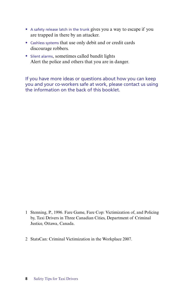- A safety release latch in the trunk gives you a way to escape if you are trapped in there by an attacker.
- Cashless systems that use only debit and or credit cards discourage robbers.
- Silent alarms, sometimes called bandit lights Alert the police and others that you are in danger.

If you have more ideas or questions about how you can keep you and your co-workers safe at work, please contact us using the information on the back of this booklet.

- 1 Stenning, P., 1996. Fare Game, Fare Cop: Victimization of, and Policing by, Taxi Drivers in Three Canadian Cities, Department of Criminal Justice, Ottawa, Canada.
- 2 StatsCan: Criminal Victimization in the Workplace 2007.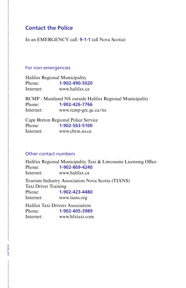# **Contact the Police**

In an EMERGENCY call: **9-1-1** (all Nova Scotia)

#### For non-emergencies

Halifax Regional Municipality Phone: **1-902-490-5020** Internet: www.halifax.ca

RCMP - Mainland NS outside Halifax Regional Municipality Phone: **1-902-426-7766** Internet: www.rcmp-grc.gc.ca/ns

Cape Breton Regional Police Service Phone: **1-902-563-5100**  Internet: www.cbrm.ns.ca

## Other contact numbers

Halifax Regional Municipality Taxi & Limousine Licensing Office Phone: **1-902-869-4240** Internet: www.halifax.ca

Tourism Industry Association Nova Scotia (TIANS) Taxi Driver Training Phone: **1-902-423-4480** Internet: www.tians.org

Halifax Taxi Drivers Association Phone: **1-902-405-3989** Internet: www.hfxtaxi.com